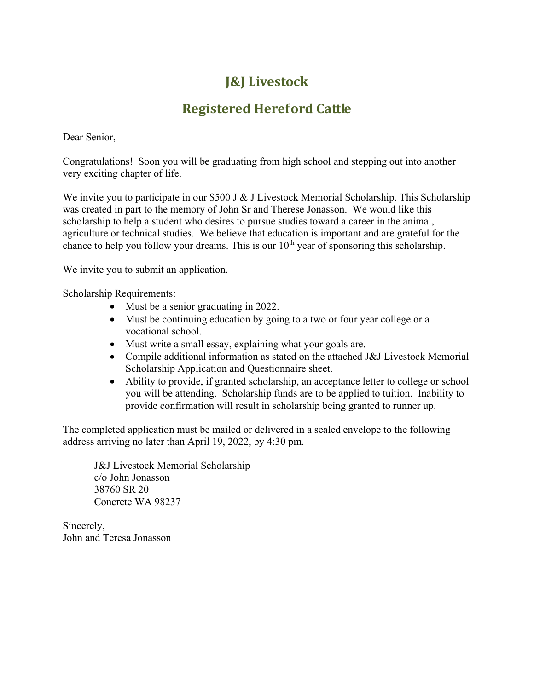## **J&J Livestock**

## **Registered Hereford Cattle**

Dear Senior,

Congratulations! Soon you will be graduating from high school and stepping out into another very exciting chapter of life.

We invite you to participate in our \$500 J & J Livestock Memorial Scholarship. This Scholarship was created in part to the memory of John Sr and Therese Jonasson. We would like this scholarship to help a student who desires to pursue studies toward a career in the animal, agriculture or technical studies. We believe that education is important and are grateful for the chance to help you follow your dreams. This is our  $10<sup>th</sup>$  year of sponsoring this scholarship.

We invite you to submit an application.

Scholarship Requirements:

- Must be a senior graduating in 2022.
- Must be continuing education by going to a two or four year college or a vocational school.
- Must write a small essay, explaining what your goals are.
- Compile additional information as stated on the attached J&J Livestock Memorial Scholarship Application and Questionnaire sheet.
- Ability to provide, if granted scholarship, an acceptance letter to college or school you will be attending. Scholarship funds are to be applied to tuition. Inability to provide confirmation will result in scholarship being granted to runner up.

The completed application must be mailed or delivered in a sealed envelope to the following address arriving no later than April 19, 2022, by 4:30 pm.

J&J Livestock Memorial Scholarship c/o John Jonasson 38760 SR 20 Concrete WA 98237

Sincerely, John and Teresa Jonasson